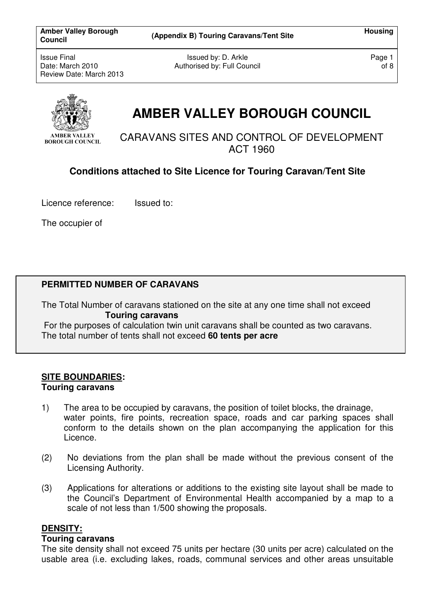Issued by: D. Arkle Authorised by: Full Council Page 1 of 8



# **AMBER VALLEY BOROUGH COUNCIL**

CARAVANS SITES AND CONTROL OF DEVELOPMENT ACT 1960

# **Conditions attached to Site Licence for Touring Caravan/Tent Site**

Licence reference:Issued to:

The occupier of

## **PERMITTED NUMBER OF CARAVANS**

The Total Number of caravans stationed on the site at any one time shall not exceed **Touring caravans** 

 For the purposes of calculation twin unit caravans shall be counted as two caravans. The total number of tents shall not exceed **60 tents per acre**

## **SITE BOUNDARIES: Touring caravans**

- 1) The area to be occupied by caravans, the position of toilet blocks, the drainage, water points, fire points, recreation space, roads and car parking spaces shall conform to the details shown on the plan accompanying the application for this Licence.
- (2) No deviations from the plan shall be made without the previous consent of the Licensing Authority.
- (3) Applications for alterations or additions to the existing site layout shall be made to the Council's Department of Environmental Health accompanied by a map to a scale of not less than 1/500 showing the proposals.

#### **DENSITY:**

#### **Touring caravans**

The site density shall not exceed 75 units per hectare (30 units per acre) calculated on the usable area (i.e. excluding lakes, roads, communal services and other areas unsuitable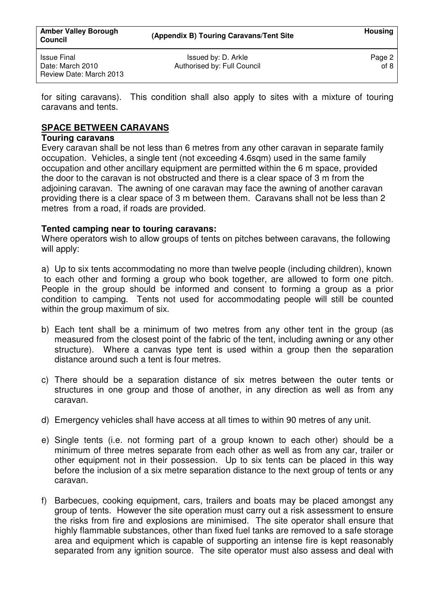for siting caravans). This condition shall also apply to sites with a mixture of touring caravans and tents.

## **SPACE BETWEEN CARAVANS**

#### **Touring caravans**

Every caravan shall be not less than 6 metres from any other caravan in separate family occupation. Vehicles, a single tent (not exceeding 4.6sqm) used in the same family occupation and other ancillary equipment are permitted within the 6 m space, provided the door to the caravan is not obstructed and there is a clear space of 3 m from the adjoining caravan. The awning of one caravan may face the awning of another caravan providing there is a clear space of 3 m between them. Caravans shall not be less than 2 metres from a road, if roads are provided.

## **Tented camping near to touring caravans:**

Where operators wish to allow groups of tents on pitches between caravans, the following will apply:

a) Up to six tents accommodating no more than twelve people (including children), known to each other and forming a group who book together, are allowed to form one pitch. People in the group should be informed and consent to forming a group as a prior condition to camping. Tents not used for accommodating people will still be counted within the group maximum of six.

- b) Each tent shall be a minimum of two metres from any other tent in the group (as measured from the closest point of the fabric of the tent, including awning or any other structure). Where a canvas type tent is used within a group then the separation distance around such a tent is four metres.
- c) There should be a separation distance of six metres between the outer tents or structures in one group and those of another, in any direction as well as from any caravan.
- d) Emergency vehicles shall have access at all times to within 90 metres of any unit.
- e) Single tents (i.e. not forming part of a group known to each other) should be a minimum of three metres separate from each other as well as from any car, trailer or other equipment not in their possession. Up to six tents can be placed in this way before the inclusion of a six metre separation distance to the next group of tents or any caravan.
- f) Barbecues, cooking equipment, cars, trailers and boats may be placed amongst any group of tents. However the site operation must carry out a risk assessment to ensure the risks from fire and explosions are minimised. The site operator shall ensure that highly flammable substances, other than fixed fuel tanks are removed to a safe storage area and equipment which is capable of supporting an intense fire is kept reasonably separated from any ignition source. The site operator must also assess and deal with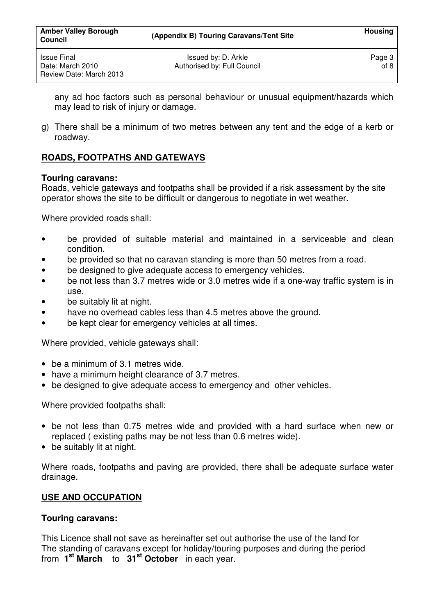any ad hoc factors such as personal behaviour or unusual equipment/hazards which may lead to risk of injury or damage.

g) There shall be a minimum of two metres between any tent and the edge of a kerb or roadway.

# **ROADS, FOOTPATHS AND GATEWAYS**

## **Touring caravans:**

Roads, vehicle gateways and footpaths shall be provided if a risk assessment by the site operator shows the site to be difficult or dangerous to negotiate in wet weather.

Where provided roads shall:

- be provided of suitable material and maintained in a serviceable and clean condition.
- be provided so that no caravan standing is more than 50 metres from a road.
- be designed to give adequate access to emergency vehicles.
- be not less than 3.7 metres wide or 3.0 metres wide if a one-way traffic system is in use.
- be suitably lit at night.
- have no overhead cables less than 4.5 metres above the ground.
- be kept clear for emergency vehicles at all times.

Where provided, vehicle gateways shall:

- be a minimum of 3.1 metres wide.
- have a minimum height clearance of 3.7 metres.
- be designed to give adequate access to emergency and other vehicles.

Where provided footpaths shall:

- be not less than 0.75 metres wide and provided with a hard surface when new or replaced ( existing paths may be not less than 0.6 metres wide).
- be suitably lit at night.

Where roads, footpaths and paving are provided, there shall be adequate surface water drainage.

## **USE AND OCCUPATION**

#### **Touring caravans:**

This Licence shall not save as hereinafter set out authorise the use of the land for The standing of caravans except for holiday/touring purposes and during the period from **1 st March** to **31st October** in each year.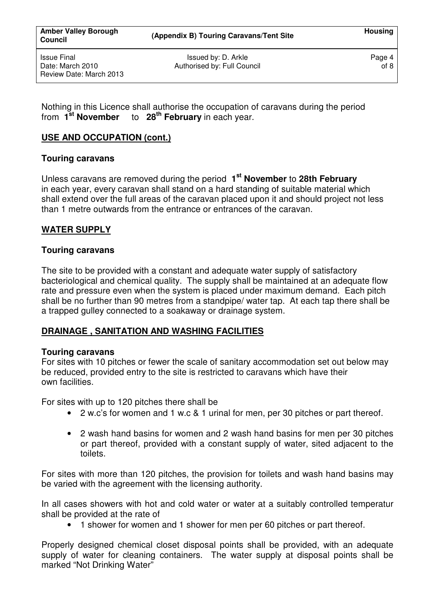Nothing in this Licence shall authorise the occupation of caravans during the period from **1st November** to **28th February** in each year.

## **USE AND OCCUPATION (cont.)**

## **Touring caravans**

Unless caravans are removed during the period **1 st November** to **28th February**  in each year, every caravan shall stand on a hard standing of suitable material which shall extend over the full areas of the caravan placed upon it and should project not less than 1 metre outwards from the entrance or entrances of the caravan.

## **WATER SUPPLY**

## **Touring caravans**

The site to be provided with a constant and adequate water supply of satisfactory bacteriological and chemical quality. The supply shall be maintained at an adequate flow rate and pressure even when the system is placed under maximum demand. Each pitch shall be no further than 90 metres from a standpipe/ water tap. At each tap there shall be a trapped gulley connected to a soakaway or drainage system.

## **DRAINAGE , SANITATION AND WASHING FACILITIES**

#### **Touring caravans**

For sites with 10 pitches or fewer the scale of sanitary accommodation set out below may be reduced, provided entry to the site is restricted to caravans which have their own facilities.

For sites with up to 120 pitches there shall be

- 2 w.c's for women and 1 w.c & 1 urinal for men, per 30 pitches or part thereof.
- 2 wash hand basins for women and 2 wash hand basins for men per 30 pitches or part thereof, provided with a constant supply of water, sited adjacent to the toilets.

For sites with more than 120 pitches, the provision for toilets and wash hand basins may be varied with the agreement with the licensing authority.

In all cases showers with hot and cold water or water at a suitably controlled temperatur shall be provided at the rate of

• 1 shower for women and 1 shower for men per 60 pitches or part thereof.

Properly designed chemical closet disposal points shall be provided, with an adequate supply of water for cleaning containers. The water supply at disposal points shall be marked "Not Drinking Water"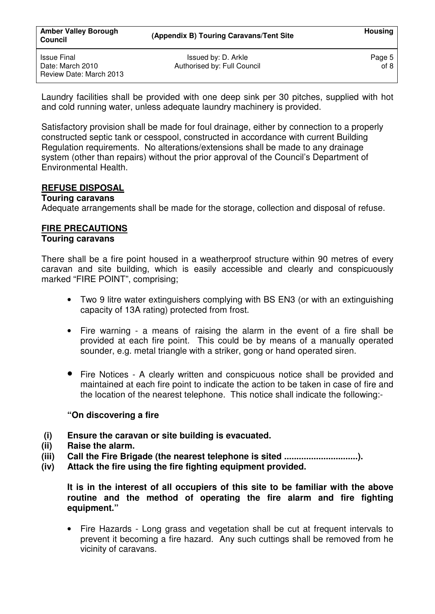Laundry facilities shall be provided with one deep sink per 30 pitches, supplied with hot and cold running water, unless adequate laundry machinery is provided.

Satisfactory provision shall be made for foul drainage, either by connection to a properly constructed septic tank or cesspool, constructed in accordance with current Building Regulation requirements. No alterations/extensions shall be made to any drainage system (other than repairs) without the prior approval of the Council's Department of Environmental Health.

## **REFUSE DISPOSAL**

#### **Touring caravans**

Adequate arrangements shall be made for the storage, collection and disposal of refuse.

## **FIRE PRECAUTIONS**

## **Touring caravans**

There shall be a fire point housed in a weatherproof structure within 90 metres of every caravan and site building, which is easily accessible and clearly and conspicuously marked "FIRE POINT", comprising;

- Two 9 litre water extinguishers complying with BS EN3 (or with an extinguishing capacity of 13A rating) protected from frost.
- Fire warning a means of raising the alarm in the event of a fire shall be provided at each fire point. This could be by means of a manually operated sounder, e.g. metal triangle with a striker, gong or hand operated siren.
- Fire Notices A clearly written and conspicuous notice shall be provided and maintained at each fire point to indicate the action to be taken in case of fire and the location of the nearest telephone. This notice shall indicate the following:-

#### **"On discovering a fire**

- **(i) Ensure the caravan or site building is evacuated.**
- **(ii) Raise the alarm.**
- **(iii) Call the Fire Brigade (the nearest telephone is sited ..............................).**
- **(iv) Attack the fire using the fire fighting equipment provided.**

 **It is in the interest of all occupiers of this site to be familiar with the above routine and the method of operating the fire alarm and fire fighting equipment."** 

• Fire Hazards - Long grass and vegetation shall be cut at frequent intervals to prevent it becoming a fire hazard. Any such cuttings shall be removed from he vicinity of caravans.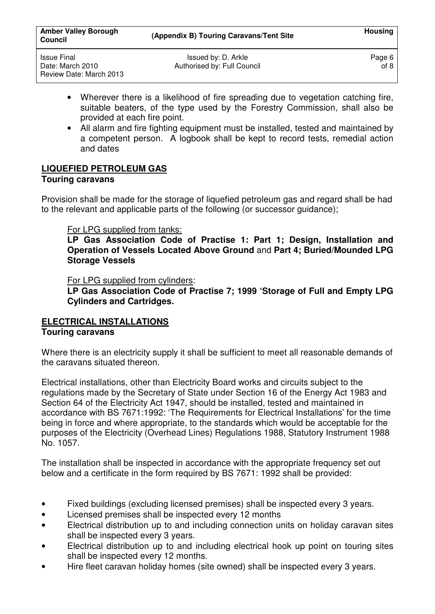- Wherever there is a likelihood of fire spreading due to vegetation catching fire, suitable beaters, of the type used by the Forestry Commission, shall also be provided at each fire point.
- All alarm and fire fighting equipment must be installed, tested and maintained by a competent person. A logbook shall be kept to record tests, remedial action and dates

# **LIQUEFIED PETROLEUM GAS**

## **Touring caravans**

Provision shall be made for the storage of liquefied petroleum gas and regard shall be had to the relevant and applicable parts of the following (or successor guidance);

# For LPG supplied from tanks:

**LP Gas Association Code of Practise 1: Part 1; Design, Installation and Operation of Vessels Located Above Ground** and **Part 4; Buried/Mounded LPG Storage Vessels** 

## For LPG supplied from cylinders:

**LP Gas Association Code of Practise 7; 1999 'Storage of Full and Empty LPG Cylinders and Cartridges.** 

#### **ELECTRICAL INSTALLATIONS Touring caravans**

Where there is an electricity supply it shall be sufficient to meet all reasonable demands of the caravans situated thereon.

Electrical installations, other than Electricity Board works and circuits subject to the regulations made by the Secretary of State under Section 16 of the Energy Act 1983 and Section 64 of the Electricity Act 1947, should be installed, tested and maintained in accordance with BS 7671:1992: 'The Requirements for Electrical Installations' for the time being in force and where appropriate, to the standards which would be acceptable for the purposes of the Electricity (Overhead Lines) Regulations 1988, Statutory Instrument 1988 No. 1057.

The installation shall be inspected in accordance with the appropriate frequency set out below and a certificate in the form required by BS 7671: 1992 shall be provided:

- Fixed buildings (excluding licensed premises) shall be inspected every 3 years.
- Licensed premises shall be inspected every 12 months
- Electrical distribution up to and including connection units on holiday caravan sites shall be inspected every 3 years.
- Electrical distribution up to and including electrical hook up point on touring sites shall be inspected every 12 months.
- Hire fleet caravan holiday homes (site owned) shall be inspected every 3 years.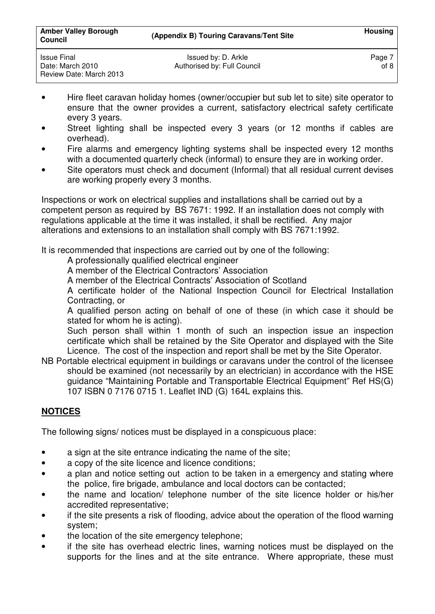| Issue Final             | Issued by: D. Arkle         | Page 7 |
|-------------------------|-----------------------------|--------|
| Date: March 2010        | Authorised by: Full Council | of 8   |
| Review Date: March 2013 |                             |        |

- Hire fleet caravan holiday homes (owner/occupier but sub let to site) site operator to ensure that the owner provides a current, satisfactory electrical safety certificate every 3 years.
- Street lighting shall be inspected every 3 years (or 12 months if cables are overhead).
- Fire alarms and emergency lighting systems shall be inspected every 12 months with a documented quarterly check (informal) to ensure they are in working order.
- Site operators must check and document (Informal) that all residual current devises are working properly every 3 months.

Inspections or work on electrical supplies and installations shall be carried out by a competent person as required by BS 7671: 1992. If an installation does not comply with regulations applicable at the time it was installed, it shall be rectified. Any major alterations and extensions to an installation shall comply with BS 7671:1992.

It is recommended that inspections are carried out by one of the following:

- A professionally qualified electrical engineer
- A member of the Electrical Contractors' Association
- A member of the Electrical Contracts' Association of Scotland

 A certificate holder of the National Inspection Council for Electrical Installation Contracting, or

 A qualified person acting on behalf of one of these (in which case it should be stated for whom he is acting).

 Such person shall within 1 month of such an inspection issue an inspection certificate which shall be retained by the Site Operator and displayed with the Site Licence. The cost of the inspection and report shall be met by the Site Operator.

NB Portable electrical equipment in buildings or caravans under the control of the licensee should be examined (not necessarily by an electrician) in accordance with the HSE guidance "Maintaining Portable and Transportable Electrical Equipment" Ref HS(G) 107 ISBN 0 7176 0715 1. Leaflet IND (G) 164L explains this.

## **NOTICES**

The following signs/ notices must be displayed in a conspicuous place:

- a sign at the site entrance indicating the name of the site;
- a copy of the site licence and licence conditions;
- a plan and notice setting out action to be taken in a emergency and stating where the police, fire brigade, ambulance and local doctors can be contacted;
- the name and location/ telephone number of the site licence holder or his/her accredited representative;
- if the site presents a risk of flooding, advice about the operation of the flood warning system;
- the location of the site emergency telephone;
- if the site has overhead electric lines, warning notices must be displayed on the supports for the lines and at the site entrance. Where appropriate, these must